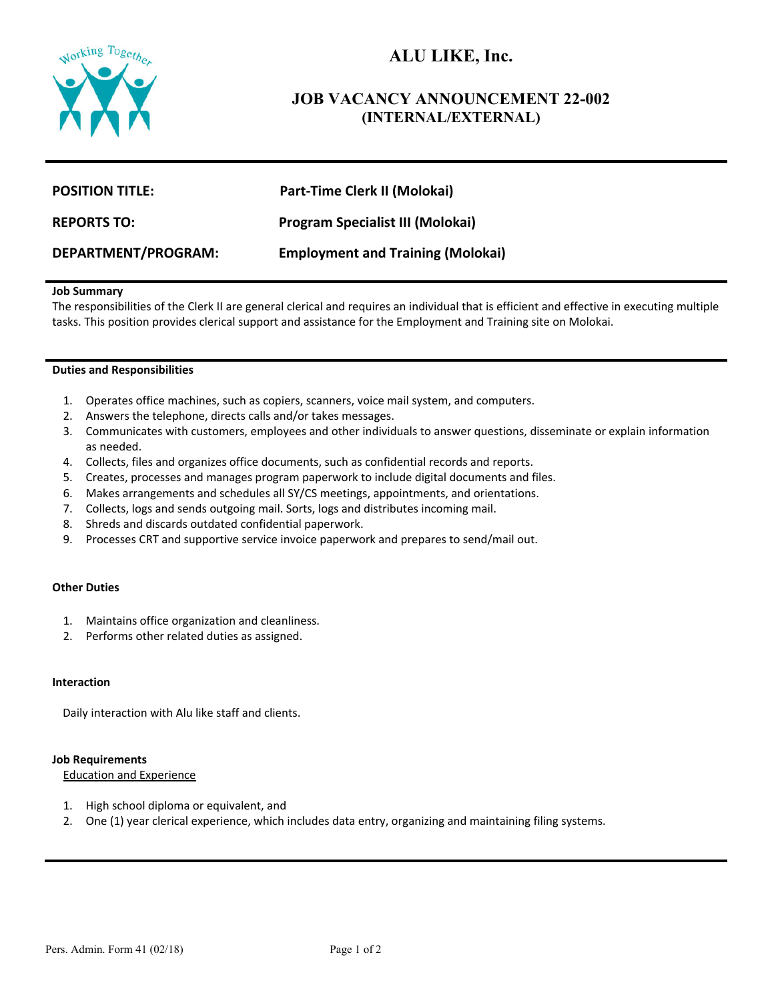

# **ALU LIKE, Inc.**

# **JOB VACANCY ANNOUNCEMENT 22-002 (INTERNAL/EXTERNAL)**

| <b>POSITION TITLE:</b>     | Part-Time Clerk II (Molokai)             |
|----------------------------|------------------------------------------|
| <b>REPORTS TO:</b>         | <b>Program Specialist III (Molokai)</b>  |
| <b>DEPARTMENT/PROGRAM:</b> | <b>Employment and Training (Molokai)</b> |

# **Job Summary**

The responsibilities of the Clerk II are general clerical and requires an individual that is efficient and effective in executing multiple tasks. This position provides clerical support and assistance for the Employment and Training site on Molokai.

#### **Duties and Responsibilities**

- 1. Operates office machines, such as copiers, scanners, voice mail system, and computers.
- 2. Answers the telephone, directs calls and/or takes messages.
- 3. Communicates with customers, employees and other individuals to answer questions, disseminate or explain information as needed.
- 4. Collects, files and organizes office documents, such as confidential records and reports.
- 5. Creates, processes and manages program paperwork to include digital documents and files.
- 6. Makes arrangements and schedules all SY/CS meetings, appointments, and orientations.
- 7. Collects, logs and sends outgoing mail. Sorts, logs and distributes incoming mail.
- 8. Shreds and discards outdated confidential paperwork.
- 9. Processes CRT and supportive service invoice paperwork and prepares to send/mail out.

#### **Other Duties**

- 1. Maintains office organization and cleanliness.
- 2. Performs other related duties as assigned.

# **Interaction**

Daily interaction with Alu like staff and clients.

#### **Job Requirements**

Education and Experience

- 1. High school diploma or equivalent, and
- 2. One (1) year clerical experience, which includes data entry, organizing and maintaining filing systems.